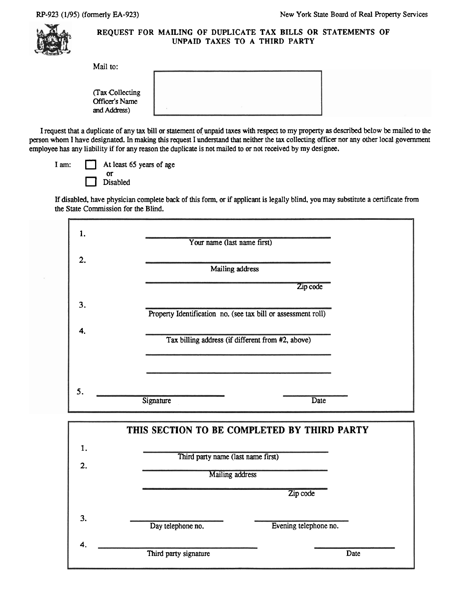

## **REQUEST FOR MAILING OF DUPLICATE TAX BILLS OR STATEMENTS OF UNPAID TAXES TO A THIRD PARTY**

| (Tax Collecting)<br>Officer's Name |  |  |
|------------------------------------|--|--|
| and Address)                       |  |  |

I request that a duplicate of any tax bill or statement of unpaid taxes with respect to my property as described below be mailed to the person whom I have designated. In making this request I understand that neither the tax collecting officer nor any other local government employee has **any** liability if for any reason the duplicate is not mailed to or not received by my designee.

At least 65 years of age **or**  Disabled

If disabled, have physician complete back of this form, **or** if applicant is legally blind, you may substitute a certificate from the State Commission for the Blind.

| 1. | Your name (last name first)                                   |
|----|---------------------------------------------------------------|
| 2. | Mailing address                                               |
|    | Zip code                                                      |
| 3. | Property Identification no. (see tax bill or assessment roll) |
| 4. | Tax billing address (if different from #2, above)             |
|    |                                                               |
| 5. |                                                               |